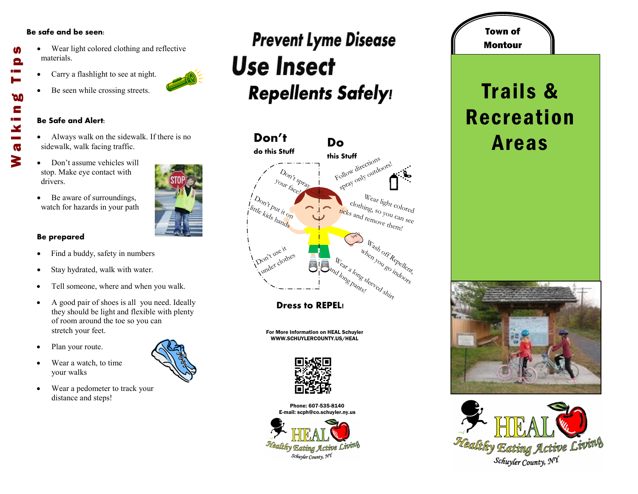#### **Be safe and be seen:**

M

Θ

**DO** E

 $\mathbf{x}$  $\mathbf{\sigma}$ 3

- Wear light colored clothing and reflective materials. Walking Tips
	- Carry a flashlight to see at night.
	- Be seen while crossing streets.

#### **Be Safe and Alert:**

- Always walk on the sidewalk. If there is no sidewalk, walk facing traffic.
- Don't assume vehicles will stop. Make eye contact with drivers.
- Be aware of surroundings, watch for hazards in your path

### **Be prepared**

- Find a buddy, safety in numbers
- Stay hydrated, walk with water.
- Tell someone, where and when you walk.
- A good pair of shoes is all you need. Ideally they should be light and flexible with plenty of room around the toe so you can stretch your feet.
- Plan your route.
- Wear a watch, to time your walks
- Wear a pedometer to track your distance and steps!

### **Prevent Lyme Disease Use Insect Repellents Safely!**



**Dress to REPEL!**

For More Information on HEAL Schuyler WWW.SCHUYLERCOUNTY.US/HEAL



Phone: 607-535-8140 E-mail: scph@co.schuyler.ny.us



## Montour Trails & Recreation Areas

Town of